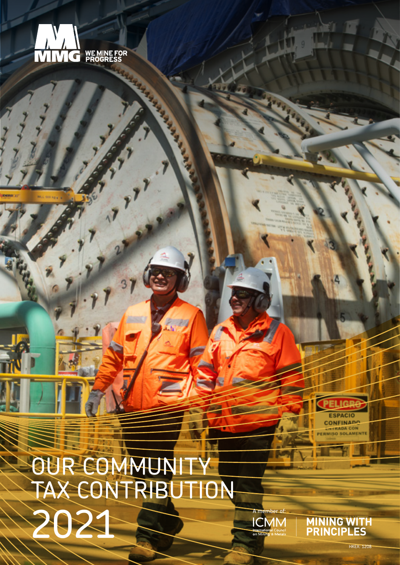

C. Carpen

OUR COMMUNITY TAX CONTRIBUTION 2021



**MINING WITH<br>PRINCIPLES** 

A member of:

**ICMM** 

Internation<br>On Minir

**HKEX: 120**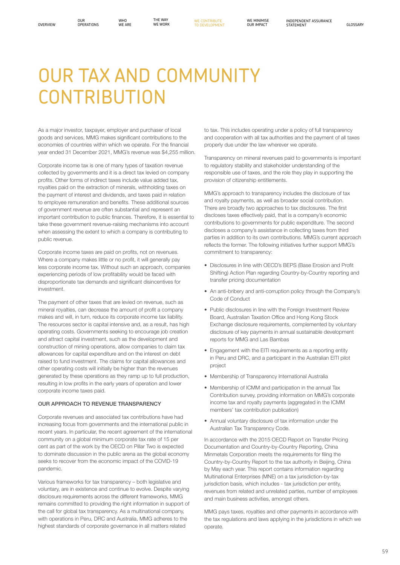OUR<sup></sup>

## OUR TAX AND COMMUNITY **CONTRIBUTION**

As a major investor, taxpayer, employer and purchaser of local goods and services, MMG makes significant contributions to the economies of countries within which we operate. For the financial year ended 31 December 2021, MMG's revenue was \$4,255 million.

Corporate income tax is one of many types of taxation revenue collected by governments and it is a direct tax levied on company profits. Other forms of indirect taxes include value added tax, royalties paid on the extraction of minerals, withholding taxes on the payment of interest and dividends, and taxes paid in relation to employee remuneration and benefits. These additional sources of government revenue are often substantial and represent an important contribution to public finances. Therefore, it is essential to take these government revenue-raising mechanisms into account when assessing the extent to which a company is contributing to public revenue.

Corporate income taxes are paid on profits, not on revenues. Where a company makes little or no profit, it will generally pay less corporate income tax. Without such an approach, companies experiencing periods of low profitability would be faced with disproportionate tax demands and significant disincentives for investment.

The payment of other taxes that are levied on revenue, such as mineral royalties, can decrease the amount of profit a company makes and will, in turn, reduce its corporate income tax liability. The resources sector is capital intensive and, as a result, has high operating costs. Governments seeking to encourage job creation and attract capital investment, such as the development and construction of mining operations, allow companies to claim tax allowances for capital expenditure and on the interest on debt raised to fund investment. The claims for capital allowances and other operating costs will initially be higher than the revenues generated by these operations as they ramp up to full production, resulting in low profits in the early years of operation and lower corporate income taxes paid.

## OUR APPROACH TO REVENUE TRANSPARENCY

Corporate revenues and associated tax contributions have had increasing focus from governments and the international public in recent years. In particular, the recent agreement of the international community on a global minimum corporate tax rate of 15 per cent as part of the work by the OECD on Pillar Two is expected to dominate discussion in the public arena as the global economy seeks to recover from the economic impact of the COVID-19 pandemic.

Various frameworks for tax transparency – both legislative and voluntary, are in existence and continue to evolve. Despite varying disclosure requirements across the different frameworks, MMG remains committed to providing the right information in support of the call for global tax transparency. As a multinational company, with operations in Peru, DRC and Australia, MMG adheres to the highest standards of corporate governance in all matters related

to tax. This includes operating under a policy of full transparency and cooperation with all tax authorities and the payment of all taxes properly due under the law wherever we operate.

Transparency on mineral revenues paid to governments is important to regulatory stability and stakeholder understanding of the responsible use of taxes, and the role they play in supporting the provision of citizenship entitlements.

MMG's approach to transparency includes the disclosure of tax and royalty payments, as well as broader social contribution. There are broadly two approaches to tax disclosures. The first discloses taxes effectively paid, that is a company's economic contributions to governments for public expenditure. The second discloses a company's assistance in collecting taxes from third parties in addition to its own contributions. MMG's current approach reflects the former. The following initiatives further support MMG's commitment to transparency:

- Disclosures in line with OECD's BEPS (Base Erosion and Profit Shifting) Action Plan regarding Country-by-Country reporting and transfer pricing documentation
- An anti-bribery and anti-corruption policy through the Company's Code of Conduct
- Public disclosures in line with the Foreign Investment Review Board, Australian Taxation Office and Hong Kong Stock Exchange disclosure requirements, complemented by voluntary disclosure of key payments in annual sustainable development reports for MMG and Las Bambas
- Engagement with the EITI requirements as a reporting entity in Peru and DRC, and a participant in the Australian EITI pilot project
- Membership of Transparency International Australia
- Membership of ICMM and participation in the annual Tax Contribution survey, providing information on MMG's corporate income tax and royalty payments (aggregated in the ICMM members' tax contribution publication)
- Annual voluntary disclosure of tax information under the Australian Tax Transparency Code.

In accordance with the 2015 OECD Report on Transfer Pricing Documentation and Country-by-Country Reporting, China Minmetals Corporation meets the requirements for filing the Country-by-Country Report to the tax authority in Beijing, China by May each year. This report contains information regarding Multinational Enterprises (MNE) on a tax jurisdiction-by-tax jurisdiction basis, which includes - tax jurisdiction per entity, revenues from related and unrelated parties, number of employees and main business activities, amongst others.

MMG pays taxes, royalties and other payments in accordance with the tax regulations and laws applying in the jurisdictions in which we operate.